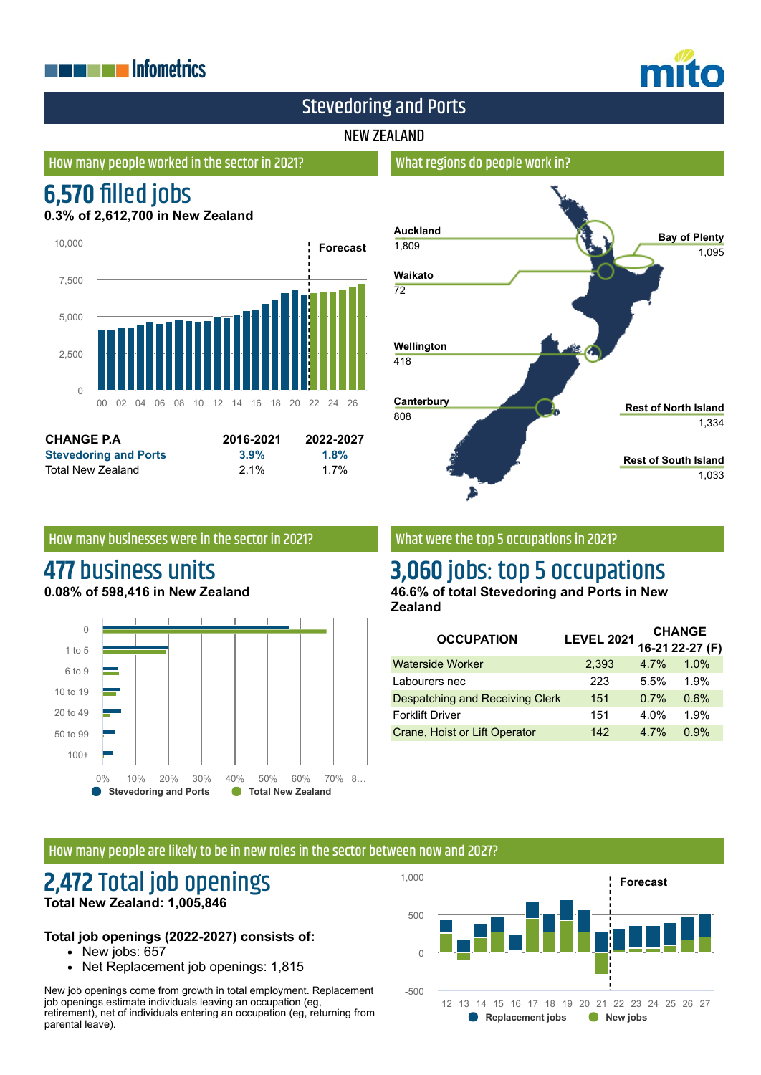## **THE EXPLOSITION ENERGY INC.**



## Stevedoring and Ports

#### NEW ZEALAND

#### How many people worked in the sector in 2021?

## **6,570 filled jobs**

**0.3% of 2,612,700 in New Zealand**



| <b>CHANGE P.A.</b>           | 2016-2021 | 2022-2027 |
|------------------------------|-----------|-----------|
| <b>Stevedoring and Ports</b> | 3.9%      | 1.8%      |
| Total New Zealand            | $2.1\%$   | 1.7%      |

## **Auckland** 1,809 **Waikato** 72 **Wellington** 418 **Canterbury** 808 **Bay of Plenty** 1,095 **Rest of North Island** 1,334 **Rest of South Island** 1,033

#### How many businesses were in the sector in 2021?

# **477** business units

**0.08% of 598,416 in New Zealand**



#### What were the top 5 occupations in 2021?

What regions do people work in?

## **3,060** jobs: top 5 occupations

**46.6% of total Stevedoring and Ports in New Zealand**

| <b>OCCUPATION</b>                      | <b>LEVEL 2021</b> | <b>CHANGE</b> |                 |
|----------------------------------------|-------------------|---------------|-----------------|
|                                        |                   |               | 16-21 22-27 (F) |
| <b>Waterside Worker</b>                | 2,393             | 4.7%          | 1.0%            |
| Labourers nec                          | 223               | 5.5%          | 1.9%            |
| <b>Despatching and Receiving Clerk</b> | 151               | 0.7%          | 0.6%            |
| <b>Forklift Driver</b>                 | 151               | 4.0%          | 1.9%            |
| Crane, Hoist or Lift Operator          | 142               | 4.7%          | 0.9%            |

#### How many people are likely to be in new roles in the sector between now and 2027?

### **2,472** Total job openings **Total New Zealand: 1,005,846**

#### **Total job openings (2022-2027) consists of:**

- New jobs: 657
- Net Replacement job openings: 1,815

New job openings come from growth in total employment. Replacement job openings estimate individuals leaving an occupation (eg, retirement), net of individuals entering an occupation (eg, returning from parental leave).